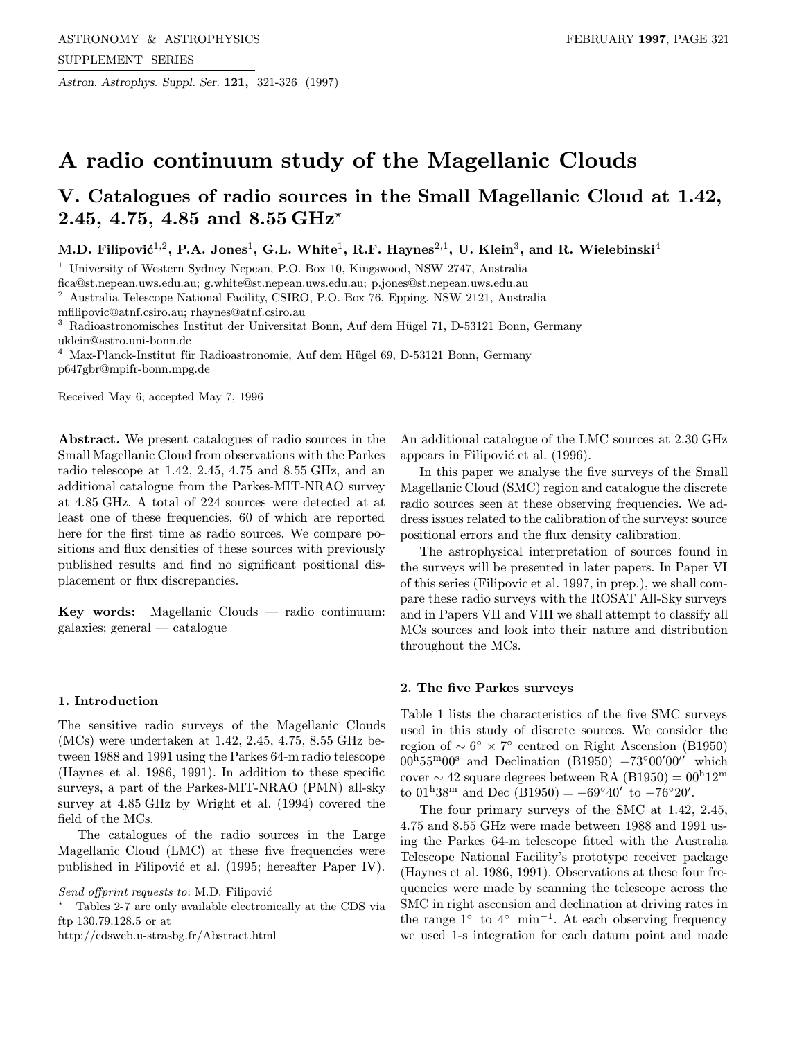Astron. Astrophys. Suppl. Ser. 121, 321-326 (1997)

# A radio continuum study of the Magellanic Clouds

# V. Catalogues of radio sources in the Small Magellanic Cloud at 1.42, 2.45, 4.75, 4.85 and 8.55 GHz<sup>\*</sup>

M.D. Filipović<sup>1,2</sup>, P.A. Jones<sup>1</sup>, G.L. White<sup>1</sup>, R.F. Haynes<sup>2,1</sup>, U. Klein<sup>3</sup>, and R. Wielebinski<sup>4</sup>

<sup>1</sup> University of Western Sydney Nepean, P.O. Box 10, Kingswood, NSW 2747, Australia

fica@st.nepean.uws.edu.au; g.white@st.nepean.uws.edu.au; p.jones@st.nepean.uws.edu.au

<sup>2</sup> Australia Telescope National Facility, CSIRO, P.O. Box 76, Epping, NSW 2121, Australia

mfilipovic@atnf.csiro.au; rhaynes@atnf.csiro.au

<sup>3</sup> Radioastronomisches Institut der Universitat Bonn, Auf dem Hügel 71, D-53121 Bonn, Germany uklein@astro.uni-bonn.de

 $^4\,$  Max-Planck-Institut für Radioastronomie, Auf dem Hügel 69, D-53121 Bonn, Germany p647gbr@mpifr-bonn.mpg.de

Received May 6; accepted May 7, 1996

Abstract. We present catalogues of radio sources in the Small Magellanic Cloud from observations with the Parkes radio telescope at 1.42, 2.45, 4.75 and 8.55 GHz, and an additional catalogue from the Parkes-MIT-NRAO survey at 4.85 GHz. A total of 224 sources were detected at at least one of these frequencies, 60 of which are reported here for the first time as radio sources. We compare positions and flux densities of these sources with previously published results and find no significant positional displacement or flux discrepancies.

Key words: Magellanic Clouds — radio continuum: galaxies; general — catalogue

#### 1. Introduction

The sensitive radio surveys of the Magellanic Clouds (MCs) were undertaken at 1.42, 2.45, 4.75, 8.55 GHz between 1988 and 1991 using the Parkes 64-m radio telescope (Haynes et al. 1986, 1991). In addition to these specific surveys, a part of the Parkes-MIT-NRAO (PMN) all-sky survey at 4.85 GHz by Wright et al. (1994) covered the field of the MCs.

The catalogues of the radio sources in the Large Magellanic Cloud (LMC) at these five frequencies were published in Filipović et al. (1995; hereafter Paper IV).

An additional catalogue of the LMC sources at 2.30 GHz appears in Filipović et al. (1996).

In this paper we analyse the five surveys of the Small Magellanic Cloud (SMC) region and catalogue the discrete radio sources seen at these observing frequencies. We address issues related to the calibration of the surveys: source positional errors and the flux density calibration.

The astrophysical interpretation of sources found in the surveys will be presented in later papers. In Paper VI of this series (Filipovic et al. 1997, in prep.), we shall compare these radio surveys with the ROSAT All-Sky surveys and in Papers VII and VIII we shall attempt to classify all MCs sources and look into their nature and distribution throughout the MCs.

#### 2. The five Parkes surveys

Table 1 lists the characteristics of the five SMC surveys used in this study of discrete sources. We consider the region of  $\sim 6^\circ \times 7^\circ$  centred on Right Ascension (B1950)  $00^{\text{h}}55^{\text{m}}00^{\text{s}}$  and Declination (B1950)  $-73^{\circ}00'00''$  which cover  $\sim$  42 square degrees between RA (B1950) = 00<sup>h</sup>12<sup>m</sup> to  $01^{\text{h}}38^{\text{m}}$  and Dec  $(B1950) = -69°40'$  to  $-76°20'$ .

The four primary surveys of the SMC at 1.42, 2.45, 4.75 and 8.55 GHz were made between 1988 and 1991 using the Parkes 64-m telescope fitted with the Australia Telescope National Facility's prototype receiver package (Haynes et al. 1986, 1991). Observations at these four frequencies were made by scanning the telescope across the SMC in right ascension and declination at driving rates in the range  $1°$  to  $4°$  min<sup>-1</sup>. At each observing frequency we used 1-s integration for each datum point and made

Send offprint requests to: M.D. Filipović

<sup>?</sup> Tables 2-7 are only available electronically at the CDS via ftp 130.79.128.5 or at

http://cdsweb.u-strasbg.fr/Abstract.html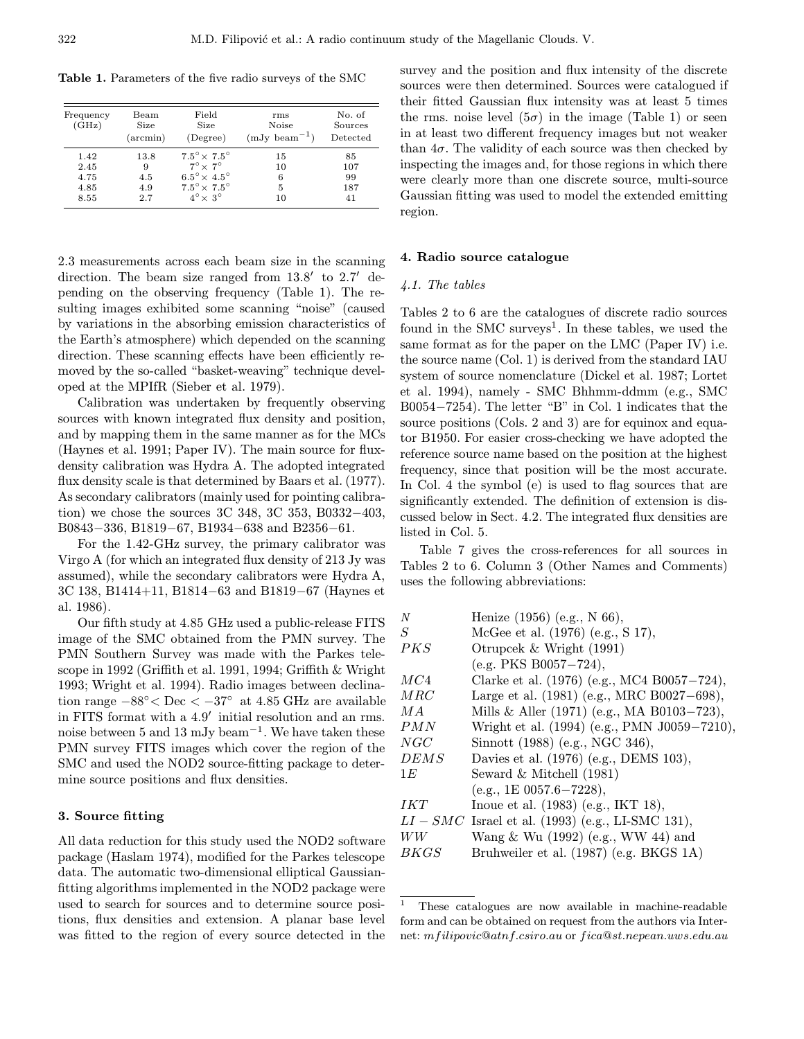Table 1. Parameters of the five radio surveys of the SMC

| Frequency<br>(GHz) | Beam<br>Size<br>$(\arcsin)$ | Field<br>Size<br>(Degree)    | rms<br>Noise<br>$(mJy beam-1)$ | No. of<br>Sources<br>Detected |
|--------------------|-----------------------------|------------------------------|--------------------------------|-------------------------------|
| 1.42               | 13.8                        | $7.5^\circ \times 7.5^\circ$ | 15                             | 85                            |
| 2.45               | 9                           | $7^\circ \times 7^\circ$     | 10                             | 107                           |
| 4.75               | 4.5                         | $6.5^\circ \times 4.5^\circ$ | 6                              | 99                            |
| 4.85               | 4.9                         | $7.5^\circ \times 7.5^\circ$ | 5                              | 187                           |
| 8.55               | 2.7                         | $4^{\circ} \times 3^{\circ}$ | 10                             | 41                            |

2.3 measurements across each beam size in the scanning direction. The beam size ranged from  $13.8'$  to  $2.7'$  depending on the observing frequency (Table 1). The resulting images exhibited some scanning "noise" (caused by variations in the absorbing emission characteristics of the Earth's atmosphere) which depended on the scanning direction. These scanning effects have been efficiently removed by the so-called "basket-weaving" technique developed at the MPIfR (Sieber et al. 1979).

Calibration was undertaken by frequently observing sources with known integrated flux density and position, and by mapping them in the same manner as for the MCs (Haynes et al. 1991; Paper IV). The main source for fluxdensity calibration was Hydra A. The adopted integrated flux density scale is that determined by Baars et al. (1977). As secondary calibrators (mainly used for pointing calibration) we chose the sources 3C 348, 3C 353, B0332−403, B0843−336, B1819−67, B1934−638 and B2356−61.

For the 1.42-GHz survey, the primary calibrator was Virgo A (for which an integrated flux density of 213 Jy was assumed), while the secondary calibrators were Hydra A, 3C 138, B1414+11, B1814−63 and B1819−67 (Haynes et al. 1986).

Our fifth study at 4.85 GHz used a public-release FITS image of the SMC obtained from the PMN survey. The PMN Southern Survey was made with the Parkes telescope in 1992 (Griffith et al. 1991, 1994; Griffith & Wright 1993; Wright et al. 1994). Radio images between declination range  $-88° < \text{Dec} < -37°$  at 4.85 GHz are available in FITS format with a  $4.9'$  initial resolution and an rms. noise between 5 and 13 mJy beam<sup>−</sup><sup>1</sup>. We have taken these PMN survey FITS images which cover the region of the SMC and used the NOD2 source-fitting package to determine source positions and flux densities.

### 3. Source fitting

All data reduction for this study used the NOD2 software package (Haslam 1974), modified for the Parkes telescope data. The automatic two-dimensional elliptical Gaussianfitting algorithms implemented in the NOD2 package were used to search for sources and to determine source positions, flux densities and extension. A planar base level was fitted to the region of every source detected in the survey and the position and flux intensity of the discrete sources were then determined. Sources were catalogued if their fitted Gaussian flux intensity was at least 5 times the rms. noise level  $(5\sigma)$  in the image (Table 1) or seen in at least two different frequency images but not weaker than  $4\sigma$ . The validity of each source was then checked by inspecting the images and, for those regions in which there were clearly more than one discrete source, multi-source Gaussian fitting was used to model the extended emitting region.

## 4. Radio source catalogue

#### 4.1. The tables

Tables 2 to 6 are the catalogues of discrete radio sources found in the SMC surveys<sup>1</sup>. In these tables, we used the same format as for the paper on the LMC (Paper IV) i.e. the source name (Col. 1) is derived from the standard IAU system of source nomenclature (Dickel et al. 1987; Lortet et al. 1994), namely - SMC Bhhmm-ddmm (e.g., SMC B0054−7254). The letter "B" in Col. 1 indicates that the source positions (Cols. 2 and 3) are for equinox and equator B1950. For easier cross-checking we have adopted the reference source name based on the position at the highest frequency, since that position will be the most accurate. In Col. 4 the symbol (e) is used to flag sources that are significantly extended. The definition of extension is discussed below in Sect. 4.2. The integrated flux densities are listed in Col. 5.

Table 7 gives the cross-references for all sources in Tables 2 to 6. Column 3 (Other Names and Comments) uses the following abbreviations:

| N          | Henize (1956) (e.g., N 66),                         |
|------------|-----------------------------------------------------|
| S          | McGee et al. (1976) (e.g., S 17),                   |
| PKS        | Otrupcek $&$ Wright (1991)                          |
|            | $(e.g. PKS B0057-724),$                             |
| MC4        | Clarke et al. (1976) (e.g., MC4 B0057-724),         |
| MRC        | Large et al. (1981) (e.g., MRC B0027-698),          |
| M A        | Mills & Aller (1971) (e.g., MA B0103-723),          |
| PMN        | Wright et al. (1994) (e.g., PMN J0059-7210),        |
| NGC        | Sinnott (1988) (e.g., NGC 346),                     |
| DEMS       | Davies et al. (1976) (e.g., DEMS 103),              |
| 1E         | Seward $&$ Mitchell $(1981)$                        |
|            | $(e.g., 1E 0057.6 - 7228),$                         |
| <i>IKT</i> | Inoue et al. $(1983)$ (e.g., IKT 18),               |
|            | $LI - SMC$ Israel et al. (1993) (e.g., LI-SMC 131), |
| WW         | Wang & Wu $(1992)$ (e.g., WW 44) and                |
| B K G S    | Bruhweiler et al. (1987) (e.g. BKGS 1A)             |

<sup>1</sup> These catalogues are now available in machine-readable form and can be obtained on request from the authors via Internet: mf ilipovic@atnf.csiro.au or f ica@st.nepean.uws.edu.au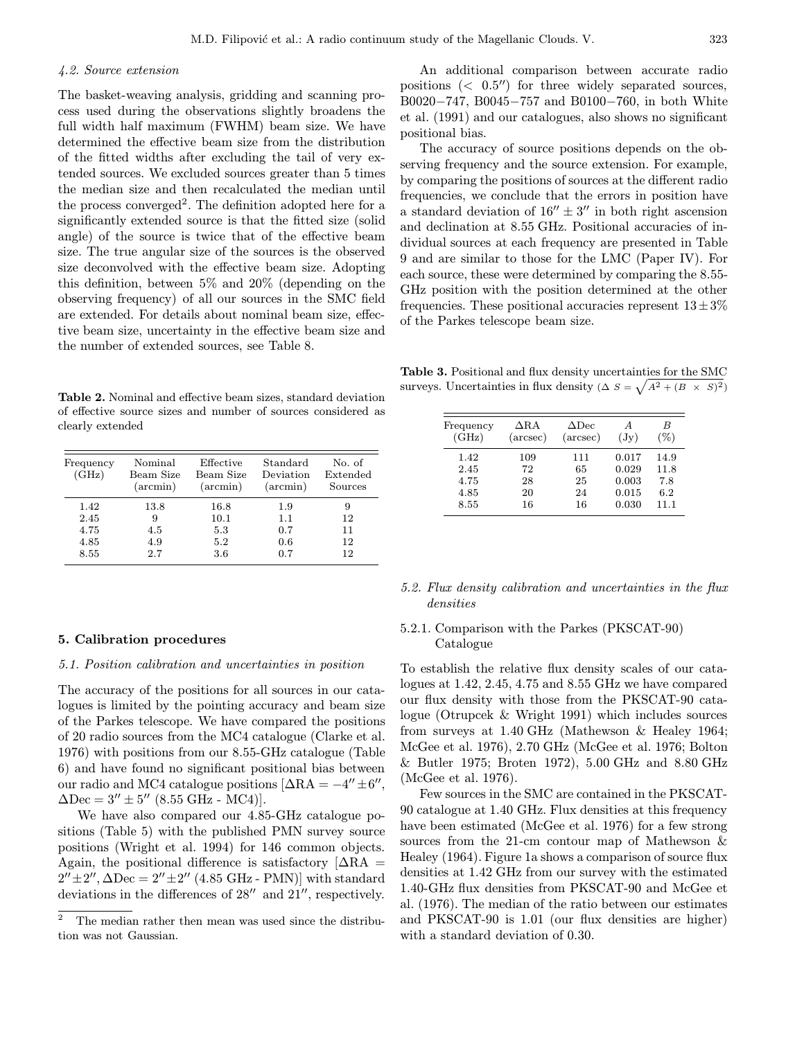## 4.2. Source extension

The basket-weaving analysis, gridding and scanning process used during the observations slightly broadens the full width half maximum (FWHM) beam size. We have determined the effective beam size from the distribution of the fitted widths after excluding the tail of very extended sources. We excluded sources greater than 5 times the median size and then recalculated the median until the process converged<sup>2</sup>. The definition adopted here for a significantly extended source is that the fitted size (solid angle) of the source is twice that of the effective beam size. The true angular size of the sources is the observed size deconvolved with the effective beam size. Adopting this definition, between 5% and 20% (depending on the observing frequency) of all our sources in the SMC field are extended. For details about nominal beam size, effective beam size, uncertainty in the effective beam size and the number of extended sources, see Table 8.

Table 2. Nominal and effective beam sizes, standard deviation of effective source sizes and number of sources considered as clearly extended

| Frequency<br>(GHz) | Nominal<br>Beam Size<br>$(\arcsin)$ | Effective<br>Beam Size<br>$(\arcsin)$ | Standard<br>Deviation<br>$(\arcsin)$ | No. of<br>Extended<br>Sources |
|--------------------|-------------------------------------|---------------------------------------|--------------------------------------|-------------------------------|
| 1.42               | 13.8                                | 16.8                                  | 1.9                                  | 9                             |
| 2.45               | 9                                   | 10.1                                  | 1.1                                  | 12                            |
| 4.75               | 4.5                                 | 5.3                                   | 0.7                                  | 11                            |
| 4.85               | 4.9                                 | 5.2                                   | 0.6                                  | 12                            |
| 8.55               | 2.7                                 | 3.6                                   | 0.7                                  | 12                            |

## 5. Calibration procedures

#### 5.1. Position calibration and uncertainties in position

The accuracy of the positions for all sources in our catalogues is limited by the pointing accuracy and beam size of the Parkes telescope. We have compared the positions of 20 radio sources from the MC4 catalogue (Clarke et al. 1976) with positions from our 8.55-GHz catalogue (Table 6) and have found no significant positional bias between our radio and MC4 catalogue positions  $[\Delta RA = -4'' \pm 6''$ ,  $\Delta$ Dec = 3''  $\pm$  5'' (8.55 GHz - MC4)].

We have also compared our 4.85-GHz catalogue positions (Table 5) with the published PMN survey source positions (Wright et al. 1994) for 146 common objects. Again, the positional difference is satisfactory  $[∆RA =$  $2'' \pm 2''$ ,  $\Delta Dec = 2'' \pm 2''$  (4.85 GHz - PMN)] with standard deviations in the differences of  $28^{\prime\prime}$  and  $21^{\prime\prime}$ , respectively.

An additional comparison between accurate radio positions  $\langle 0.5'' \rangle$  for three widely separated sources, B0020−747, B0045−757 and B0100−760, in both White et al. (1991) and our catalogues, also shows no significant positional bias.

The accuracy of source positions depends on the observing frequency and the source extension. For example, by comparing the positions of sources at the different radio frequencies, we conclude that the errors in position have a standard deviation of  $16'' \pm 3''$  in both right ascension and declination at 8.55 GHz. Positional accuracies of individual sources at each frequency are presented in Table 9 and are similar to those for the LMC (Paper IV). For each source, these were determined by comparing the 8.55- GHz position with the position determined at the other frequencies. These positional accuracies represent  $13\pm3\%$ of the Parkes telescope beam size.

Table 3. Positional and flux density uncertainties for the SMC surveys. Uncertainties in flux density ( $\Delta S = \sqrt{A^2 + (B \times S)^2}$ )

| Frequency | $\Delta$ R.A      | $\Delta$ Dec      | A               | B      |
|-----------|-------------------|-------------------|-----------------|--------|
| (GHz)     | $(\text{arcsec})$ | $(\text{arcsec})$ | $(\mathrm{Jy})$ | $(\%)$ |
| 1.42      | 109               | 111               | 0.017           | 14.9   |
| 2.45      | 72                | 65                | 0.029           | 11.8   |
| 4.75      | 28                | 25                | 0.003           | 7.8    |
| 4.85      | 20                | 24                | 0.015           | 6.2    |
| 8.55      | 16                | 16                | 0.030           | 11.1   |

## 5.2. Flux density calibration and uncertainties in the flux densities

## 5.2.1. Comparison with the Parkes (PKSCAT-90) Catalogue

To establish the relative flux density scales of our catalogues at 1.42, 2.45, 4.75 and 8.55 GHz we have compared our flux density with those from the PKSCAT-90 catalogue (Otrupcek & Wright 1991) which includes sources from surveys at 1.40 GHz (Mathewson & Healey 1964; McGee et al. 1976), 2.70 GHz (McGee et al. 1976; Bolton & Butler 1975; Broten 1972), 5.00 GHz and 8.80 GHz (McGee et al. 1976).

Few sources in the SMC are contained in the PKSCAT-90 catalogue at 1.40 GHz. Flux densities at this frequency have been estimated (McGee et al. 1976) for a few strong sources from the 21-cm contour map of Mathewson & Healey (1964). Figure 1a shows a comparison of source flux densities at 1.42 GHz from our survey with the estimated 1.40-GHz flux densities from PKSCAT-90 and McGee et al. (1976). The median of the ratio between our estimates and PKSCAT-90 is 1.01 (our flux densities are higher) with a standard deviation of 0.30.

 $\overline{a}$  The median rather then mean was used since the distribution was not Gaussian.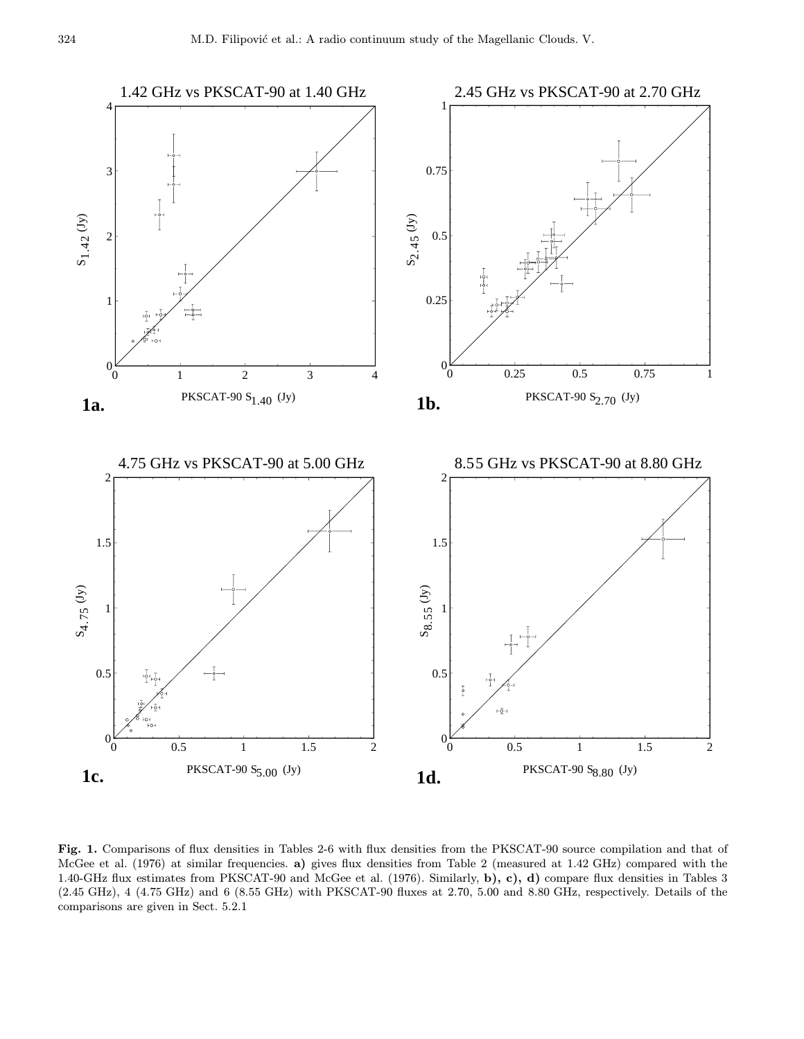

Fig. 1. Comparisons of flux densities in Tables 2-6 with flux densities from the PKSCAT-90 source compilation and that of McGee et al. (1976) at similar frequencies. a) gives flux densities from Table 2 (measured at 1.42 GHz) compared with the 1.40-GHz flux estimates from PKSCAT-90 and McGee et al. (1976). Similarly, b), c), d) compare flux densities in Tables 3 (2.45 GHz), 4 (4.75 GHz) and 6 (8.55 GHz) with PKSCAT-90 fluxes at 2.70, 5.00 and 8.80 GHz, respectively. Details of the comparisons are given in Sect. 5.2.1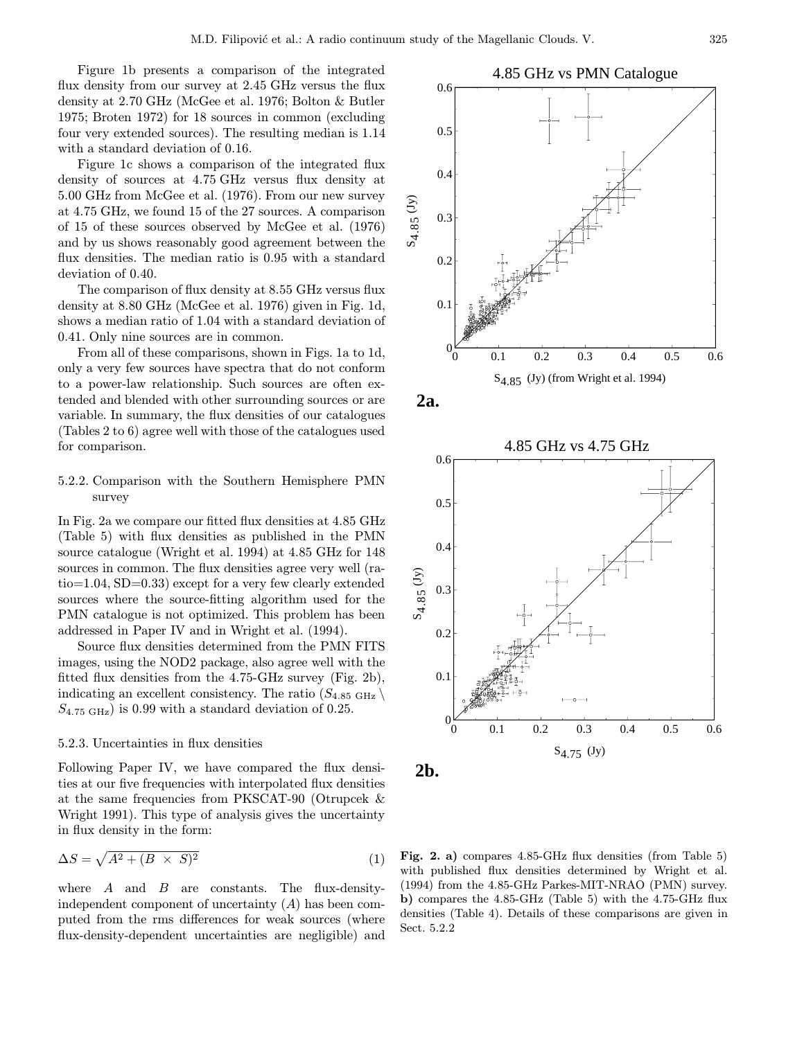Figure 1b presents a comparison of the integrated flux density from our survey at 2.45 GHz versus the flux density at 2.70 GHz (McGee et al. 1976; Bolton & Butler 1975; Broten 1972) for 18 sources in common (excluding four very extended sources). The resulting median is 1.14 with a standard deviation of 0.16.

Figure 1c shows a comparison of the integrated flux density of sources at 4.75 GHz versus flux density at 5.00 GHz from McGee et al. (1976). From our new survey at 4.75 GHz, we found 15 of the 27 sources. A comparison of 15 of these sources observed by McGee et al. (1976) and by us shows reasonably good agreement between the flux densities. The median ratio is 0.95 with a standard deviation of 0.40.

The comparison of flux density at 8.55 GHz versus flux density at 8.80 GHz (McGee et al. 1976) given in Fig. 1d, shows a median ratio of 1.04 with a standard deviation of 0.41. Only nine sources are in common.

From all of these comparisons, shown in Figs. 1a to 1d, only a very few sources have spectra that do not conform to a power-law relationship. Such sources are often extended and blended with other surrounding sources or are variable. In summary, the flux densities of our catalogues (Tables 2 to 6) agree well with those of the catalogues used for comparison.

## 5.2.2. Comparison with the Southern Hemisphere PMN survey

In Fig. 2a we compare our fitted flux densities at 4.85 GHz (Table 5) with flux densities as published in the PMN source catalogue (Wright et al. 1994) at 4.85 GHz for 148 sources in common. The flux densities agree very well (ratio=1.04, SD=0.33) except for a very few clearly extended sources where the source-fitting algorithm used for the PMN catalogue is not optimized. This problem has been addressed in Paper IV and in Wright et al. (1994).

Source flux densities determined from the PMN FITS images, using the NOD2 package, also agree well with the fitted flux densities from the 4.75-GHz survey (Fig. 2b), indicating an excellent consistency. The ratio  $(S_{4.85 \text{ GHz}})$  $S_{4.75 \text{ GHz}}$ ) is 0.99 with a standard deviation of 0.25.

## 5.2.3. Uncertainties in flux densities

Following Paper IV, we have compared the flux densities at our five frequencies with interpolated flux densities at the same frequencies from PKSCAT-90 (Otrupcek & Wright 1991). This type of analysis gives the uncertainty in flux density in the form:

$$
\Delta S = \sqrt{A^2 + (B \times S)^2} \tag{1}
$$

where  $A$  and  $B$  are constants. The flux-densityindependent component of uncertainty  $(A)$  has been computed from the rms differences for weak sources (where flux-density-dependent uncertainties are negligible) and









Fig. 2. a) compares 4.85-GHz flux densities (from Table 5) with published flux densities determined by Wright et al. (1994) from the 4.85-GHz Parkes-MIT-NRAO (PMN) survey. b) compares the 4.85-GHz (Table 5) with the 4.75-GHz flux densities (Table 4). Details of these comparisons are given in Sect. 5.2.2